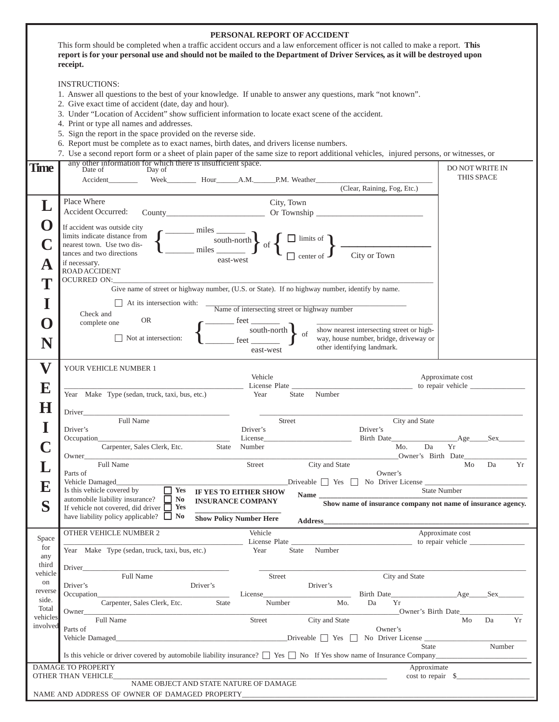| PERSONAL REPORT OF ACCIDENT<br>This form should be completed when a traffic accident occurs and a law enforcement officer is not called to make a report. This |                                                                                                                                                                                                                                                                                                                                                                                                                                                                                                                                                                                                                                                       |                                       |  |  |  |  |  |  |  |
|----------------------------------------------------------------------------------------------------------------------------------------------------------------|-------------------------------------------------------------------------------------------------------------------------------------------------------------------------------------------------------------------------------------------------------------------------------------------------------------------------------------------------------------------------------------------------------------------------------------------------------------------------------------------------------------------------------------------------------------------------------------------------------------------------------------------------------|---------------------------------------|--|--|--|--|--|--|--|
|                                                                                                                                                                | report is for your personal use and should not be mailed to the Department of Driver Services, as it will be destroyed upon<br>receipt.                                                                                                                                                                                                                                                                                                                                                                                                                                                                                                               |                                       |  |  |  |  |  |  |  |
|                                                                                                                                                                | <b>INSTRUCTIONS:</b><br>1. Answer all questions to the best of your knowledge. If unable to answer any questions, mark "not known".<br>2. Give exact time of accident (date, day and hour).<br>3. Under "Location of Accident" show sufficient information to locate exact scene of the accident.<br>4. Print or type all names and addresses.<br>5. Sign the report in the space provided on the reverse side.<br>6. Report must be complete as to exact names, birth dates, and drivers license numbers.<br>7. Use a second report form or a sheet of plain paper of the same size to report additional vehicles, injured persons, or witnesses, or |                                       |  |  |  |  |  |  |  |
| <b>Time</b>                                                                                                                                                    | any other information for which there is insufficient space.<br>Date of<br>Day of                                                                                                                                                                                                                                                                                                                                                                                                                                                                                                                                                                     | <b>DO NOT WRITE IN</b>                |  |  |  |  |  |  |  |
|                                                                                                                                                                | Week Hour A.M. P.M. Weather<br>Accident                                                                                                                                                                                                                                                                                                                                                                                                                                                                                                                                                                                                               | THIS SPACE                            |  |  |  |  |  |  |  |
|                                                                                                                                                                | (Clear, Raining, Fog, Etc.)                                                                                                                                                                                                                                                                                                                                                                                                                                                                                                                                                                                                                           |                                       |  |  |  |  |  |  |  |
|                                                                                                                                                                | Place Where<br>City, Town<br>Accident Occurred:                                                                                                                                                                                                                                                                                                                                                                                                                                                                                                                                                                                                       |                                       |  |  |  |  |  |  |  |
| $\blacksquare$                                                                                                                                                 | If accident was outside city                                                                                                                                                                                                                                                                                                                                                                                                                                                                                                                                                                                                                          |                                       |  |  |  |  |  |  |  |
|                                                                                                                                                                | miles<br>limits indicate distance from<br>$\frac{\text{miles}}{\text{miles}}$ of $\left\{\begin{array}{c}\Box\text{ limits of} \\Box\end{array}\right\}$ $\frac{\text{miles}}{\Box\text{center of}}$                                                                                                                                                                                                                                                                                                                                                                                                                                                  |                                       |  |  |  |  |  |  |  |
|                                                                                                                                                                | nearest town. Use two dis-<br>tances and two directions                                                                                                                                                                                                                                                                                                                                                                                                                                                                                                                                                                                               |                                       |  |  |  |  |  |  |  |
| A                                                                                                                                                              | if necessary.<br><b>ROAD ACCIDENT</b>                                                                                                                                                                                                                                                                                                                                                                                                                                                                                                                                                                                                                 |                                       |  |  |  |  |  |  |  |
| T                                                                                                                                                              | <b>OCURRED ON:</b>                                                                                                                                                                                                                                                                                                                                                                                                                                                                                                                                                                                                                                    |                                       |  |  |  |  |  |  |  |
|                                                                                                                                                                | Give name of street or highway number, (U.S. or State). If no highway number, identify by name.<br>At its intersection with:                                                                                                                                                                                                                                                                                                                                                                                                                                                                                                                          |                                       |  |  |  |  |  |  |  |
|                                                                                                                                                                | Name of intersecting street or highway number<br>Check and                                                                                                                                                                                                                                                                                                                                                                                                                                                                                                                                                                                            |                                       |  |  |  |  |  |  |  |
| U                                                                                                                                                              | <b>OR</b><br>feet<br>complete one<br>south-north<br>show nearest intersecting street or high-                                                                                                                                                                                                                                                                                                                                                                                                                                                                                                                                                         |                                       |  |  |  |  |  |  |  |
|                                                                                                                                                                | of<br>Not at intersection:<br>way, house number, bridge, driveway or<br>other identifying landmark.<br>east-west                                                                                                                                                                                                                                                                                                                                                                                                                                                                                                                                      |                                       |  |  |  |  |  |  |  |
| $\mathbf{V}$                                                                                                                                                   | YOUR VEHICLE NUMBER 1                                                                                                                                                                                                                                                                                                                                                                                                                                                                                                                                                                                                                                 |                                       |  |  |  |  |  |  |  |
| 10                                                                                                                                                             | Vehicle<br>License Plate                                                                                                                                                                                                                                                                                                                                                                                                                                                                                                                                                                                                                              | Approximate cost                      |  |  |  |  |  |  |  |
|                                                                                                                                                                | Year Make Type (sedan, truck, taxi, bus, etc.)<br>Number<br>Year<br>State                                                                                                                                                                                                                                                                                                                                                                                                                                                                                                                                                                             |                                       |  |  |  |  |  |  |  |
|                                                                                                                                                                | Driver                                                                                                                                                                                                                                                                                                                                                                                                                                                                                                                                                                                                                                                |                                       |  |  |  |  |  |  |  |
|                                                                                                                                                                | Full Name<br><b>Street</b><br>City and State<br>Driver's<br>Driver's<br>Driver's                                                                                                                                                                                                                                                                                                                                                                                                                                                                                                                                                                      |                                       |  |  |  |  |  |  |  |
|                                                                                                                                                                | Occupation_<br>License                                                                                                                                                                                                                                                                                                                                                                                                                                                                                                                                                                                                                                | Sex                                   |  |  |  |  |  |  |  |
|                                                                                                                                                                | Carpenter, Sales Clerk, Etc.<br><b>State</b><br>Number<br>Mo.<br>Da<br>Owner's Birth Date<br>Owner                                                                                                                                                                                                                                                                                                                                                                                                                                                                                                                                                    | Yr                                    |  |  |  |  |  |  |  |
|                                                                                                                                                                | Full Name<br>Street<br>City and State<br>Parts of<br>Owner's                                                                                                                                                                                                                                                                                                                                                                                                                                                                                                                                                                                          | Mo<br>Da<br>Yr                        |  |  |  |  |  |  |  |
| E                                                                                                                                                              | Vehicle Damaged<br>$Driveable \t\t\t The \t\t\t No \t\t\t Driver \t\t\t Lieense \t\t\t\t 2.50$<br>$\Box$ Yes<br>Is this vehicle covered by                                                                                                                                                                                                                                                                                                                                                                                                                                                                                                            | <b>State Number</b>                   |  |  |  |  |  |  |  |
| S                                                                                                                                                              | IF YES TO EITHER SHOW<br>Name<br>automobile liability insurance? $\Box$ No<br><b>INSURANCE COMPANY</b><br>Show name of insurance company not name of insurance agency.<br>If vehicle not covered, did driver $\Box$ Yes                                                                                                                                                                                                                                                                                                                                                                                                                               |                                       |  |  |  |  |  |  |  |
|                                                                                                                                                                | have liability policy applicable? $\Box$ No<br><b>Show Policy Number Here</b><br>Address and the contract of the contract of the contract of the contract of the contract of the contract of the contract of the contract of the contract of the contract of the contract of the contract of the contract of th                                                                                                                                                                                                                                                                                                                                       |                                       |  |  |  |  |  |  |  |
| Space                                                                                                                                                          | OTHER VEHICLE NUMBER 2<br>Vehicle<br>License Plate License is a series of the series of the series of the series of the series of the series of the series of the series of the series of the series of the series of the series of the series of the series of the                                                                                                                                                                                                                                                                                                                                                                                   | Approximate cost<br>to repair vehicle |  |  |  |  |  |  |  |
| for                                                                                                                                                            | State Number<br>Year Make Type (sedan, truck, taxi, bus, etc.)<br>Year                                                                                                                                                                                                                                                                                                                                                                                                                                                                                                                                                                                |                                       |  |  |  |  |  |  |  |
| any<br>third                                                                                                                                                   | Driver <b>Dividendial Community</b> Contract and Community Community Community Community Community Community Community                                                                                                                                                                                                                                                                                                                                                                                                                                                                                                                                |                                       |  |  |  |  |  |  |  |
| vehicle<br>on                                                                                                                                                  | Full Name<br>City and State<br>Street<br>Driver's<br>Driver's<br>Driver's                                                                                                                                                                                                                                                                                                                                                                                                                                                                                                                                                                             |                                       |  |  |  |  |  |  |  |
| reverse                                                                                                                                                        | Occupation<br>License                                                                                                                                                                                                                                                                                                                                                                                                                                                                                                                                                                                                                                 |                                       |  |  |  |  |  |  |  |
| side.<br>Total                                                                                                                                                 | State<br>Da<br>Yr<br>Carpenter, Sales Clerk, Etc.<br>Number<br>Mo.<br>___________Owner's Birth Date_____<br>Owner                                                                                                                                                                                                                                                                                                                                                                                                                                                                                                                                     |                                       |  |  |  |  |  |  |  |
| vehicles<br>involved                                                                                                                                           | Full Name<br>City and State<br>Street<br>Parts of<br>Owner's                                                                                                                                                                                                                                                                                                                                                                                                                                                                                                                                                                                          | Yr<br>Mo<br>Da                        |  |  |  |  |  |  |  |
|                                                                                                                                                                |                                                                                                                                                                                                                                                                                                                                                                                                                                                                                                                                                                                                                                                       |                                       |  |  |  |  |  |  |  |
|                                                                                                                                                                | State<br>Is this vehicle or driver covered by automobile liability insurance? $\Box$ Yes $\Box$ No If Yes show name of Insurance Company                                                                                                                                                                                                                                                                                                                                                                                                                                                                                                              | Number                                |  |  |  |  |  |  |  |
| DAMAGE TO PROPERTY<br>Approximate                                                                                                                              |                                                                                                                                                                                                                                                                                                                                                                                                                                                                                                                                                                                                                                                       |                                       |  |  |  |  |  |  |  |
| $cost to repair \s$<br>OTHER THAN VEHICLE_<br>NAME OBJECT AND STATE NATURE OF DAMAGE                                                                           |                                                                                                                                                                                                                                                                                                                                                                                                                                                                                                                                                                                                                                                       |                                       |  |  |  |  |  |  |  |
| NAME AND ADDRESS OF OWNER OF DAMAGED PROPERTY___________________________________                                                                               |                                                                                                                                                                                                                                                                                                                                                                                                                                                                                                                                                                                                                                                       |                                       |  |  |  |  |  |  |  |